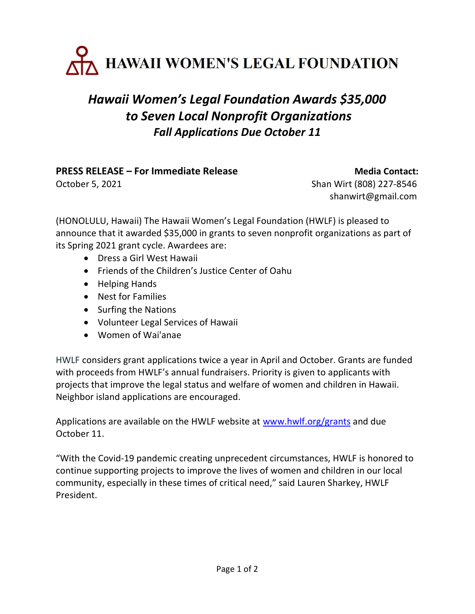

## Hawaii Women's Legal Foundation Awards \$35,000 to Seven Local Nonprofit Organizations Fall Applications Due October 11

## PRESS RELEASE – For Immediate Release Media Contact:

October 5, 2021 **Shan Wirt (808) 227-8546** shanwirt@gmail.com

(HONOLULU, Hawaii) The Hawaii Women's Legal Foundation (HWLF) is pleased to announce that it awarded \$35,000 in grants to seven nonprofit organizations as part of its Spring 2021 grant cycle. Awardees are:

- Dress a Girl West Hawaii
- Friends of the Children's Justice Center of Oahu
- Helping Hands
- Nest for Families
- Surfing the Nations
- Volunteer Legal Services of Hawaii
- Women of Wai'anae

HWLF considers grant applications twice a year in April and October. Grants are funded with proceeds from HWLF's annual fundraisers. Priority is given to applicants with projects that improve the legal status and welfare of women and children in Hawaii. Neighbor island applications are encouraged.

Applications are available on the HWLF website at www.hwlf.org/grants and due October 11.

"With the Covid-19 pandemic creating unprecedent circumstances, HWLF is honored to continue supporting projects to improve the lives of women and children in our local community, especially in these times of critical need," said Lauren Sharkey, HWLF President.